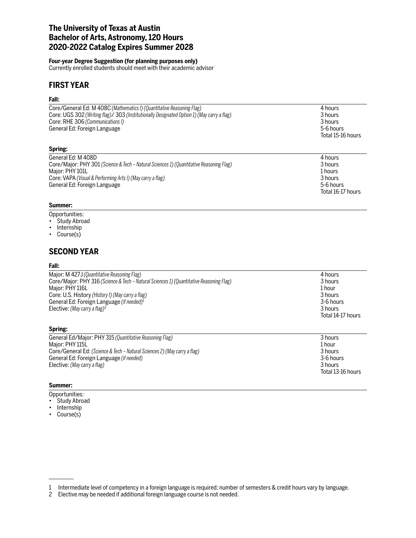# **The University of Texas at Austin Bachelor of Arts, Astronomy, 120 Hours 2020-2022 Catalog Expires Summer 2028**

### **Four-year Degree Suggestion (for planning purposes only)**

Currently enrolled students should meet with their academic advisor

# **FIRST YEAR**

# **Fall:**

| Core/General Ed: M 408C (Mathematics I) (Quantitative Reasoning Flag)<br>Core: UGS 302 (Writing flag)/ 303 (Institutionally Designated Option 1) (May carry a flag)<br>Core: RHE 306 (Communications I)<br>General Ed: Foreign Language | 4 hours<br>3 hours<br>3 hours<br>5-6 hours<br>Total 15-16 hours |
|-----------------------------------------------------------------------------------------------------------------------------------------------------------------------------------------------------------------------------------------|-----------------------------------------------------------------|
| Spring:                                                                                                                                                                                                                                 |                                                                 |

| General Ed: M 408D                                                                      | 4 hours           |
|-----------------------------------------------------------------------------------------|-------------------|
| Core/Major: PHY 301 (Science & Tech – Natural Sciences 1) (Quantitative Reasoning Flag) | 3 hours           |
| Maior: PHY 101L                                                                         | 1 hours           |
| Core: VAPA (Visual & Performing Arts I) (May carry a flag)                              | 3 hours           |
| General Ed: Foreign Language                                                            | 5-6 hours         |
|                                                                                         | Total 16-17 hours |

## **Summer:**

## Opportunities:

- Study Abroad
- Internship
- Course(s)

# **SECOND YEAR**

#### **Fall:**

| Major: M 427J (Quantitative Reasoning Flag)                                             | 4 hours           |
|-----------------------------------------------------------------------------------------|-------------------|
| Core/Major: PHY 316 (Science & Tech – Natural Sciences 1) (Quantitative Reasoning Flag) | 3 hours           |
| Major: PHY 116L                                                                         | 1 hour            |
| Core: U.S. History (History I) (May carry a flag)                                       | 3 hours           |
| General Ed: Foreign Language (if needed) <sup>1</sup>                                   | 3-6 hours         |
| Elective: (May carry a flag) <sup>2</sup>                                               | 3 hours           |
|                                                                                         | Total 14-17 hours |

#### **Spring:**

| General Ed/Major: PHY 315 (Quantitative Reasoning Flag)                   | 3 hours           |
|---------------------------------------------------------------------------|-------------------|
| Major: PHY 115L                                                           | 1 hour            |
| Core/General Ed: (Science & Tech – Natural Sciences 2) (May carry a flag) | 3 hours           |
| General Ed: Foreign Language ( <i>if needed</i> )                         | 3-6 hours         |
| Elective: (May carry a flag)                                              | 3 hours           |
|                                                                           | Total 13-16 hours |

#### **Summer:**

- Opportunities:
- Study Abroad
- Internship
- Course(s)

<sup>1</sup> Intermediate level of competency in a foreign language is required; number of semesters & credit hours vary by language.

<sup>2</sup> Elective may be needed if additional foreign language course is not needed.